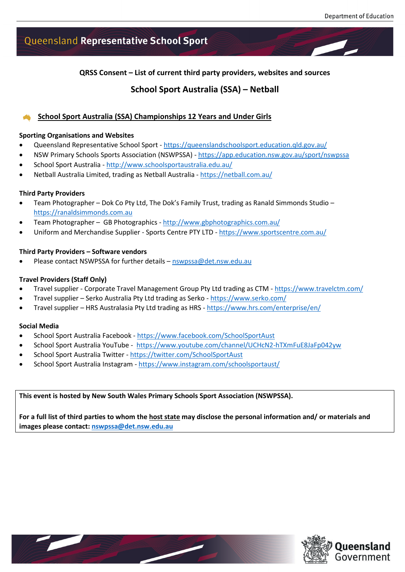# Queensland Representative School Sport

**QRSS Consent – List of current third party providers, websites and sources**

# **School Sport Australia (SSA) – Netball**

# **School Sport Australia (SSA) Championships 12 Years and Under Girls**

#### **Sporting Organisations and Websites**

- Queensland Representative School Sport <https://queenslandschoolsport.education.qld.gov.au/>
- NSW Primary Schools Sports Association (NSWPSSA) <https://app.education.nsw.gov.au/sport/nswpssa>
- School Sport Australia <http://www.schoolsportaustralia.edu.au/>
- Netball Australia Limited, trading as Netball Australia <https://netball.com.au/>

# **Third Party Providers**

- Team Photographer Dok Co Pty Ltd, The Dok's Family Trust, trading as Ranald Simmonds Studio [https://ranaldsimmonds.com.au](https://ranaldsimmonds.com.au/)
- Team Photographer GB Photographics <http://www.gbphotographics.com.au/>
- Uniform and Merchandise Supplier Sports Centre PTY LTD <https://www.sportscentre.com.au/>

# **Third Party Providers – Software vendors**

• Please contact NSWPSSA for further details – [nswpssa@det.nsw.edu.au](mailto:nswpssa@det.nsw.edu.au)

# **Travel Providers (Staff Only)**

- Travel supplier Corporate Travel Management Group Pty Ltd trading as CTM <https://www.travelctm.com/>
- Travel supplier Serko Australia Pty Ltd trading as Serko <https://www.serko.com/>
- Travel supplier HRS Australasia Pty Ltd trading as HRS <https://www.hrs.com/enterprise/en/>

#### **Social Media**

- School Sport Australia Facebook <https://www.facebook.com/SchoolSportAust>
- School Sport Australia YouTube -<https://www.youtube.com/channel/UCHcN2-hTXmFuE8JaFp042yw>
- School Sport Australia Twitter <https://twitter.com/SchoolSportAust>
- School Sport Australia Instagram <https://www.instagram.com/schoolsportaust/>

# **This event is hosted by New South Wales Primary Schools Sport Association (NSWPSSA).**

**For a full list of third parties to whom the host state may disclose the personal information and/ or materials and images please contact: [nswpssa@det.nsw.edu.au](mailto:nswpssa@det.nsw.edu.au)**